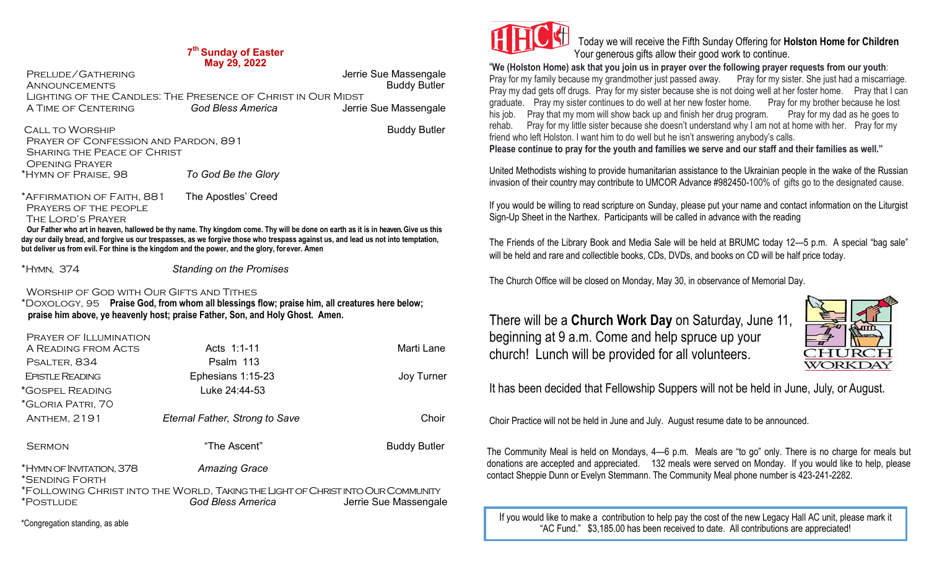### **7 th Sunday of Easter May 29, 2022**

 Prelude/Gathering Jerrie Sue Massengale **ANNOUNCEMENTS**  Lighting of the Candles: The Presence of Christ in Our Midst A Time of Centering *God Bless America* Jerrie Sue Massengale

CALL TO WORSHIP **Buddy Butler**  Prayer of Confession and Pardon, 891 SHARING THE PEACE OF CHRIST Opening Prayer \*Hymn of Praise, 98 *To God Be the Glory*

\*Affirmation of Faith, 881 The Apostles' Creed

Prayers of the people

The Lord's Prayer

 **Our Father who art in heaven, hallowed be thy name. Thy kingdom come. Thy will be done on earth as it is in heaven. Give us this day our daily bread, and forgive us our trespasses, as we forgive those who trespass against us, and lead us not into temptation, but deliver us from evil. For thine is the kingdom and the power, and the glory, for ever. Amen**

\*Hymn, 374 *Standing on the Promises*

## Worship of God with Our Gifts and Tithes

\*Doxology, 95 **Praise God, from whom all blessings flow; praise him, all creatures here below; praise him above, ye heavenly host; praise Father, Son, and Holy Ghost. Amen.** 

## Prayer of Illumination

| A READING FROM ACTS                        | Acts 1:1-11                                                                                                 | Marti Lane            |
|--------------------------------------------|-------------------------------------------------------------------------------------------------------------|-----------------------|
| PSALTER, 834                               | Psalm 113                                                                                                   |                       |
| <b>EPISTLE READING</b>                     | Ephesians 1:15-23                                                                                           | Joy Turner            |
| *GOSPEL READING                            | Luke 24:44-53                                                                                               |                       |
| *GLORIA PATRI, 70                          |                                                                                                             |                       |
| <b>ANTHEM, 2191</b>                        | <b>Eternal Father, Strong to Save</b>                                                                       | Choir                 |
|                                            |                                                                                                             |                       |
| <b>SERMON</b>                              | "The Ascent"                                                                                                | <b>Buddy Butler</b>   |
| *HYMN OF INVITATION, 378<br>*SENDING FORTH | <b>Amazing Grace</b>                                                                                        |                       |
| *POSTLUDE                                  | *FOLLOWING CHRIST INTO THE WORLD, TAKING THE LIGHT OF CHRIST INTO OUR COMMUNITY<br><b>God Bless America</b> | Jerrie Sue Massengale |

\*Congregation standing, as able



# Today we will receive the Fifth Sunday Offering for **Holston Home for Children**  Your generous gifts allow their good work to continue.

"**We (Holston Home) ask that you join us in prayer over the following prayer requests from our youth**: Pray for my family because my grandmother just passed away. Pray for my sister. She just had a miscarriage. Pray my dad gets off drugs. Pray for my sister because she is not doing well at her foster home. Pray that I can graduate. Pray my sister continues to do well at her new foster home. Pray for my brother because he lost his job. Pray that my mom will show back up and finish her drug program. Pray for my dad as he goes to his job. Pray that my mom will show back up and finish her drug program. rehab. Pray for my little sister because she doesn't understand why I am not at home with her. Pray for my friend who left Holston. I want him to do well but he isn't answering anybody's calls.

**Please continue to pray for the youth and families we serve and our staff and their families as well."** 

United Methodists wishing to provide humanitarian assistance to the Ukrainian people in the wake of the Russian invasion of their country may contribute to UMCOR Advance #982450-100% of gifts go to the designated cause.

If you would be willing to read scripture on Sunday, please put your name and contact information on the Liturgist Sign-Up Sheet in the Narthex. Participants will be called in advance with the reading

The Friends of the Library Book and Media Sale will be held at BRUMC today 12—5 p.m. A special "bag sale" will be held and rare and collectible books, CDs, DVDs, and books on CD will be half price today.

The Church Office will be closed on Monday, May 30, in observance of Memorial Day.

There will be a **Church Work Day** on Saturday, June 11, beginning at 9 a.m. Come and help spruce up your church! Lunch will be provided for all volunteers.



It has been decided that Fellowship Suppers will not be held in June, July, or August.

Choir Practice will not be held in June and July. August resume date to be announced.

The Community Meal is held on Mondays, 4—6 p.m. Meals are "to go" only. There is no charge for meals but donations are accepted and appreciated. 132 meals were served on Monday. If you would like to help, please contact Sheppie Dunn or Evelyn Stemmann. The Community Meal phone number is 423-241-2282.

If you would like to make a contribution to help pay the cost of the new Legacy Hall AC unit, please mark it "AC Fund." \$3,185.00 has been received to date. All contributions are appreciated!